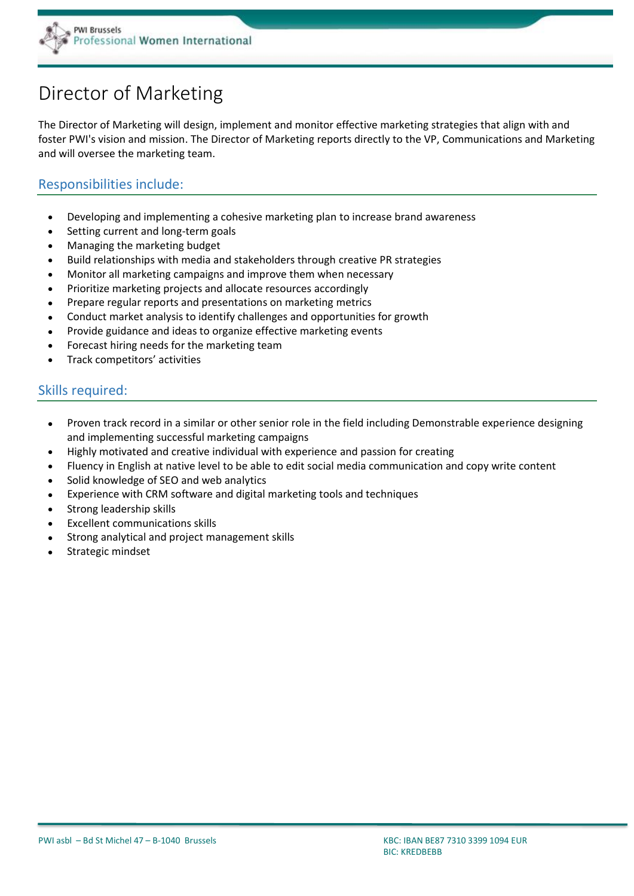

# Director of Marketing

The Director of Marketing will design, implement and monitor effective marketing strategies that align with and foster PWI's vision and mission. The Director of Marketing reports directly to the VP, Communications and Marketing and will oversee the marketing team.

### Responsibilities include:

- Developing and implementing a cohesive marketing plan to increase brand awareness
- Setting current and long-term goals
- Managing the marketing budget
- Build relationships with media and stakeholders through creative PR strategies
- Monitor all marketing campaigns and improve them when necessary
- Prioritize marketing projects and allocate resources accordingly
- Prepare regular reports and presentations on marketing metrics
- Conduct market analysis to identify challenges and opportunities for growth
- Provide guidance and ideas to organize effective marketing events
- Forecast hiring needs for the marketing team
- Track competitors' activities

### Skills required:

- Proven track record in a similar or other senior role in the field including Demonstrable experience designing and implementing successful marketing campaigns
- Highly motivated and creative individual with experience and passion for creating
- Fluency in English at native level to be able to edit social media communication and copy write content
- Solid knowledge of SEO and web analytics
- Experience with CRM software and digital marketing tools and techniques
- Strong leadership skills
- Excellent communications skills
- Strong analytical and project management skills
- Strategic mindset